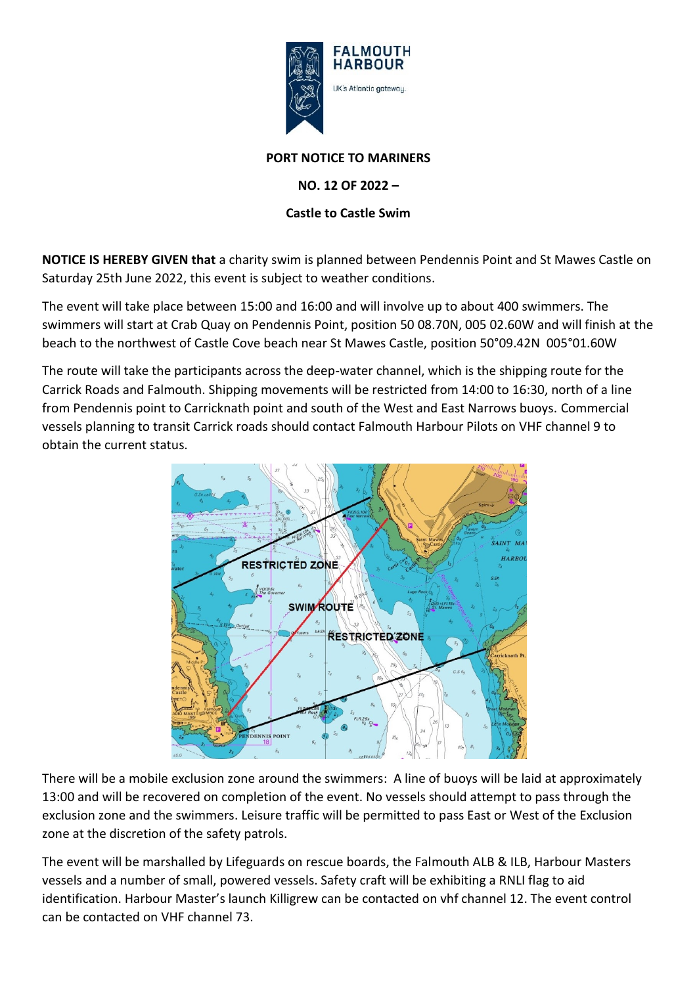

## **PORT NOTICE TO MARINERS**

**NO. 12 OF 2022 –**

## **Castle to Castle Swim**

**NOTICE IS HEREBY GIVEN that** a charity swim is planned between Pendennis Point and St Mawes Castle on Saturday 25th June 2022, this event is subject to weather conditions.

The event will take place between 15:00 and 16:00 and will involve up to about 400 swimmers. The swimmers will start at Crab Quay on Pendennis Point, position 50 08.70N, 005 02.60W and will finish at the beach to the northwest of Castle Cove beach near St Mawes Castle, position 50°09.42N 005°01.60W

The route will take the participants across the deep-water channel, which is the shipping route for the Carrick Roads and Falmouth. Shipping movements will be restricted from 14:00 to 16:30, north of a line from Pendennis point to Carricknath point and south of the West and East Narrows buoys. Commercial vessels planning to transit Carrick roads should contact Falmouth Harbour Pilots on VHF channel 9 to obtain the current status.



There will be a mobile exclusion zone around the swimmers: A line of buoys will be laid at approximately 13:00 and will be recovered on completion of the event. No vessels should attempt to pass through the exclusion zone and the swimmers. Leisure traffic will be permitted to pass East or West of the Exclusion zone at the discretion of the safety patrols.

The event will be marshalled by Lifeguards on rescue boards, the Falmouth ALB & ILB, Harbour Masters vessels and a number of small, powered vessels. Safety craft will be exhibiting a RNLI flag to aid identification. Harbour Master's launch Killigrew can be contacted on vhf channel 12. The event control can be contacted on VHF channel 73.